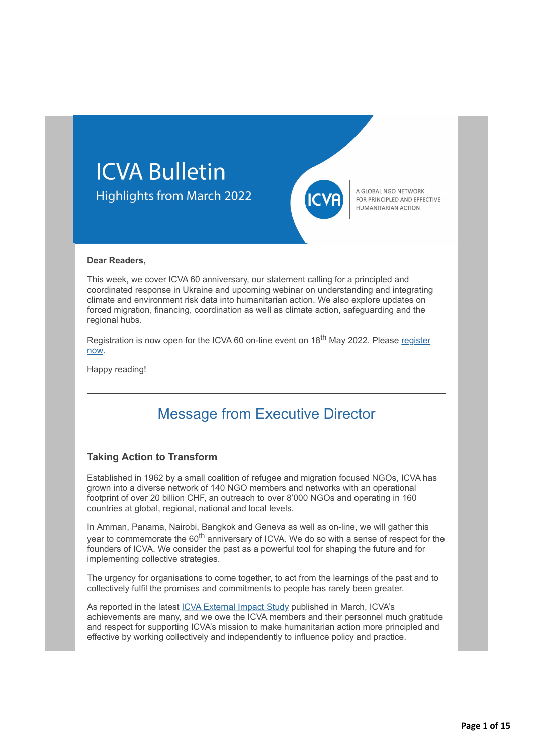# **ICVA Bulletin Highlights from March 2022**



A GLOBAL NGO NETWORK FOR PRINCIPLED AND EFFECTIVE HUMANITARIAN ACTION

#### **Dear Readers,**

This week, we cover ICVA 60 anniversary, our statement calling for a principled and coordinated response in Ukraine and upcoming webinar on understanding and integrating climate and environment risk data into humanitarian action. We also explore updates on forced migration, financing, coordination as well as climate action, safeguarding and the regional hubs.

[Registration is now open for the ICVA 60 on-line event on 18](http://icvanetwork.org/civicrm/?civiwp=CiviCRM&q=civicrm/mailing/url&u=18267&qid=990688)<sup>th</sup> May 2022. Please register now.

Happy reading!

## Message from Executive Director

#### **Taking Action to Transform**

Established in 1962 by a small coalition of refugee and migration focused NGOs, ICVA has grown into a diverse network of 140 NGO members and networks with an operational footprint of over 20 billion CHF, an outreach to over 8'000 NGOs and operating in 160 countries at global, regional, national and local levels. 

In Amman, Panama, Nairobi, Bangkok and Geneva as well as on-line, we will gather this year to commemorate the 60<sup>th</sup> anniversary of ICVA. We do so with a sense of respect for the founders of ICVA. We consider the past as a powerful tool for shaping the future and for implementing collective strategies.

The urgency for organisations to come together, to act from the learnings of the past and to collectively fulfil the promises and commitments to people has rarely been greater.

As reported in the latest [ICVA External Impact Study](http://icvanetwork.org/civicrm/?civiwp=CiviCRM&q=civicrm/mailing/url&u=18268&qid=990688) published in March, ICVA's achievements are many, and we owe the ICVA members and their personnel much gratitude and respect for supporting ICVA's mission to make humanitarian action more principled and effective by working collectively and independently to influence policy and practice.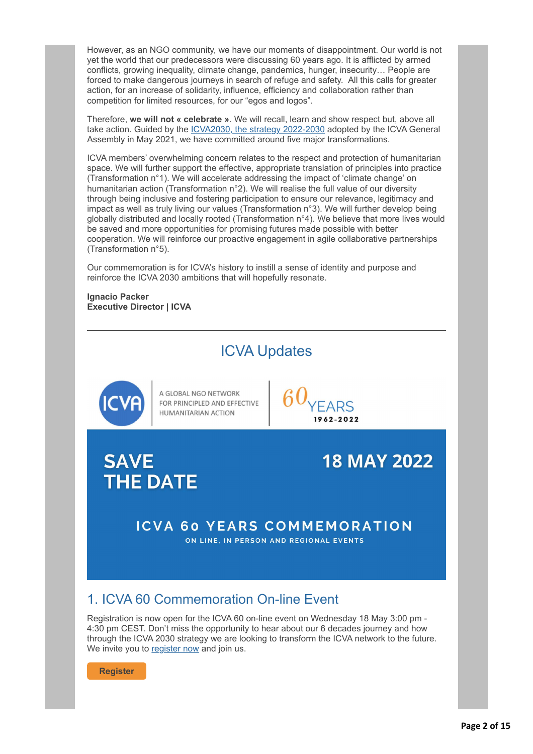However, as an NGO community, we have our moments of disappointment. Our world is not yet the world that our predecessors were discussing 60 years ago. It is afflicted by armed conflicts, growing inequality, climate change, pandemics, hunger, insecurity… People are forced to make dangerous journeys in search of refuge and safety. All this calls for greater action, for an increase of solidarity, influence, efficiency and collaboration rather than competition for limited resources, for our "egos and logos".

Therefore, **we will not « celebrate »**. We will recall, learn and show respect but, above all take action. Guided by the [ICVA2030, the strategy 2022-2030](http://icvanetwork.org/civicrm/?civiwp=CiviCRM&q=civicrm/mailing/url&u=18269&qid=990688) adopted by the ICVA General Assembly in May 2021, we have committed around five major transformations.

ICVA members' overwhelming concern relates to the respect and protection of humanitarian space. We will further support the effective, appropriate translation of principles into practice (Transformation n°1). We will accelerate addressing the impact of 'climate change' on humanitarian action (Transformation n°2). We will realise the full value of our diversity through being inclusive and fostering participation to ensure our relevance, legitimacy and impact as well as truly living our values (Transformation n°3). We will further develop being globally distributed and locally rooted (Transformation n°4). We believe that more lives would be saved and more opportunities for promising futures made possible with better cooperation. We will reinforce our proactive engagement in agile collaborative partnerships (Transformation n°5).

Our commemoration is for ICVA's history to instill a sense of identity and purpose and reinforce the ICVA 2030 ambitions that will hopefully resonate.

**Ignacio Packer Executive Director | ICVA**



Registration is now open for the ICVA 60 on-line event on Wednesday 18 May 3:00 pm - 4:30 pm CEST. Don't miss the opportunity to hear about our 6 decades journey and how through the ICVA 2030 strategy we are looking to transform the ICVA network to the future. We invite you to [register now](http://icvanetwork.org/civicrm/?civiwp=CiviCRM&q=civicrm/mailing/url&u=18270&qid=990688) and join us.

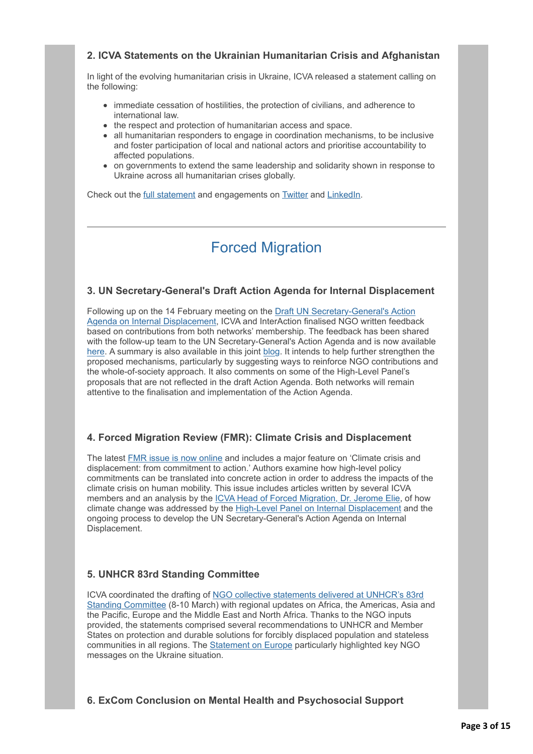## **2. ICVA Statements on the Ukrainian Humanitarian Crisis and Afghanistan**

In light of the evolving humanitarian crisis in Ukraine, ICVA released a statement calling on the following:

- immediate cessation of hostilities, the protection of civilians, and adherence to international law.
- the respect and protection of humanitarian access and space.
- all humanitarian responders to engage in coordination mechanisms, to be inclusive and foster participation of local and national actors and prioritise accountability to affected populations.
- on governments to extend the same leadership and solidarity shown in response to Ukraine across all humanitarian crises globally.

Check out the [full statement](http://icvanetwork.org/civicrm/?civiwp=CiviCRM&q=civicrm/mailing/url&u=18271&qid=990688) and engagements on [Twitter](http://icvanetwork.org/civicrm/?civiwp=CiviCRM&q=civicrm/mailing/url&u=18272&qid=990688) and [LinkedIn](http://icvanetwork.org/civicrm/?civiwp=CiviCRM&q=civicrm/mailing/url&u=18273&qid=990688).

## Forced Migration

### **3. UN Secretary-General's Draft Action Agenda for Internal Displacement**

Following up on the 14 February meeting on the Draft UN Secretary-General's Action [Agenda on Internal Displacement, ICVA and InterAction finalised NGO written feedbac](http://icvanetwork.org/civicrm/?civiwp=CiviCRM&q=civicrm/mailing/url&u=18274&qid=990688)k based on contributions from both networks' membership. The feedback has been shared with the follow-up team to the UN Secretary-General's Action Agenda and is now available [here.](http://icvanetwork.org/civicrm/?civiwp=CiviCRM&q=civicrm/mailing/url&u=18275&qid=990688) A summary is also available in this joint [blog](http://icvanetwork.org/civicrm/?civiwp=CiviCRM&q=civicrm/mailing/url&u=18276&qid=990688). It intends to help further strengthen the proposed mechanisms, particularly by suggesting ways to reinforce NGO contributions and the whole-of-society approach. It also comments on some of the High-Level Panel's proposals that are not reflected in the draft Action Agenda. Both networks will remain attentive to the finalisation and implementation of the Action Agenda.

### **4. Forced Migration Review (FMR): Climate Crisis and Displacement**

The latest [FMR issue is now online](http://icvanetwork.org/civicrm/?civiwp=CiviCRM&q=civicrm/mailing/url&u=18277&qid=990688) and includes a major feature on 'Climate crisis and displacement: from commitment to action.' Authors examine how high-level policy commitments can be translated into concrete action in order to address the impacts of the climate crisis on human mobility. This issue includes articles written by several ICVA members and an analysis by the [ICVA Head of Forced Migration, Dr. Jerome Elie,](http://icvanetwork.org/civicrm/?civiwp=CiviCRM&q=civicrm/mailing/url&u=18278&qid=990688) of how climate change was addressed by the [High-Level Panel on Internal Displacement](http://icvanetwork.org/civicrm/?civiwp=CiviCRM&q=civicrm/mailing/url&u=18279&qid=990688) and the ongoing process to develop the UN Secretary-General's Action Agenda on Internal Displacement.

## **5. UNHCR 83rd Standing Committee**

ICVA coordinated the drafting of NGO collective statements delivered at UNHCR's 83rd [Standing Committee \(8-10 March\) with regional updates on Africa, the Americas, Asia a](http://icvanetwork.org/civicrm/?civiwp=CiviCRM&q=civicrm/mailing/url&u=18280&qid=990688)nd the Pacific, Europe and the Middle East and North Africa. Thanks to the NGO inputs provided, the statements comprised several recommendations to UNHCR and Member States on protection and durable solutions for forcibly displaced population and stateless communities in all regions. The [Statement on Europe](http://icvanetwork.org/civicrm/?civiwp=CiviCRM&q=civicrm/mailing/url&u=18281&qid=990688) particularly highlighted key NGO messages on the Ukraine situation.

#### **6. ExCom Conclusion on Mental Health and Psychosocial Support**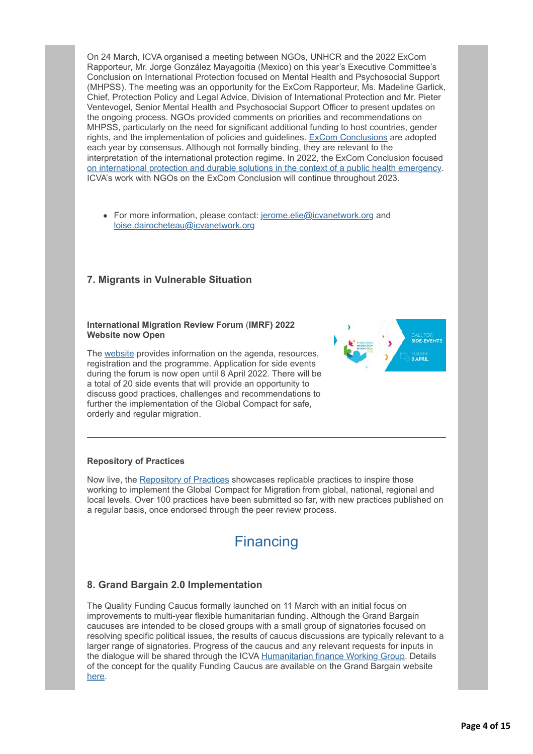On 24 March, ICVA organised a meeting between NGOs, UNHCR and the 2022 ExCom Rapporteur, Mr. Jorge González Mayagoitia (Mexico) on this year's Executive Committee's Conclusion on International Protection focused on Mental Health and Psychosocial Support (MHPSS). The meeting was an opportunity for the ExCom Rapporteur, Ms. Madeline Garlick, Chief, Protection Policy and Legal Advice, Division of International Protection and Mr. Pieter Ventevogel, Senior Mental Health and Psychosocial Support Officer to present updates on the ongoing process. NGOs provided comments on priorities and recommendations on MHPSS, particularly on the need for significant additional funding to host countries, gender rights, and the implementation of policies and guidelines. [ExCom Conclusions](http://icvanetwork.org/civicrm/?civiwp=CiviCRM&q=civicrm/mailing/url&u=18282&qid=990688) are adopted each year by consensus. Although not formally binding, they are relevant to the interpretation of the international protection regime. In 2022, the ExCom Conclusion focused [on international protection and durable solutions in the context of a public health emergency.](http://icvanetwork.org/civicrm/?civiwp=CiviCRM&q=civicrm/mailing/url&u=18283&qid=990688) ICVA's work with NGOs on the ExCom Conclusion will continue throughout 2023.

• For more information, please contact: [jerome.elie@icvanetwork.org](http://icvanetwork.org/civicrm/?civiwp=CiviCRM&q=civicrm/mailing/url&u=18284&qid=990688) and [loise.dairocheteau@icvanetwork.org](http://icvanetwork.org/civicrm/?civiwp=CiviCRM&q=civicrm/mailing/url&u=18285&qid=990688)

## **7. Migrants in Vulnerable Situation**

#### **International Migration Review Forum** (**IMRF) 2022 Website now Open**

The [website](http://icvanetwork.org/civicrm/?civiwp=CiviCRM&q=civicrm/mailing/url&u=18286&qid=990688) provides information on the agenda, resources, registration and the programme. Application for side events during the forum is now open until 8 April 2022. There will be a total of 20 side events that will provide an opportunity to discuss good practices, challenges and recommendations to further the implementation of the Global Compact for safe, orderly and regular migration.



#### **Repository of Practices**

Now live, the [Repository of Practices](http://icvanetwork.org/civicrm/?civiwp=CiviCRM&q=civicrm/mailing/url&u=18287&qid=990688) showcases replicable practices to inspire those working to implement the Global Compact for Migration from global, national, regional and local levels. Over 100 practices have been submitted so far, with new practices published on a regular basis, once endorsed through the peer review process.



## **8. Grand Bargain 2.0 Implementation**

The Quality Funding Caucus formally launched on 11 March with an initial focus on improvements to multi-year flexible humanitarian funding. Although the Grand Bargain caucuses are intended to be closed groups with a small group of signatories focused on resolving specific political issues, the results of caucus discussions are typically relevant to a larger range of signatories. Progress of the caucus and any relevant requests for inputs in the dialogue will be shared through the ICVA [Humanitarian finance Working Group.](http://icvanetwork.org/civicrm/?civiwp=CiviCRM&q=civicrm/mailing/url&u=18288&qid=990688) Details of the concept for the quality Funding Caucus are available on the Grand Bargain website [here.](http://icvanetwork.org/civicrm/?civiwp=CiviCRM&q=civicrm/mailing/url&u=18289&qid=990688)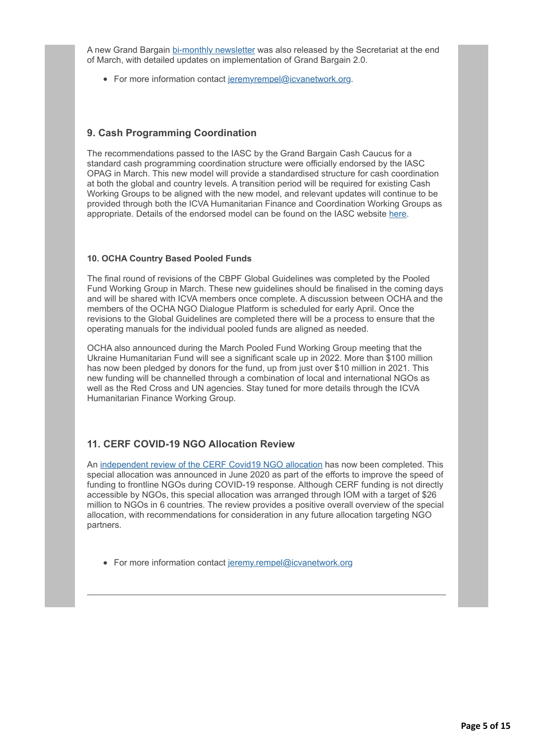A new Grand Bargain [bi-monthly newsletter](http://icvanetwork.org/civicrm/?civiwp=CiviCRM&q=civicrm/mailing/url&u=18290&qid=990688) was also released by the Secretariat at the end of March, with detailed updates on implementation of Grand Bargain 2.0.

• For more information contact [jeremyrempel@icvanetwork.org.](http://icvanetwork.org/civicrm/?civiwp=CiviCRM&q=civicrm/mailing/url&u=18291&qid=990688)

## **9. Cash Programming Coordination**

The recommendations passed to the IASC by the Grand Bargain Cash Caucus for a standard cash programming coordination structure were officially endorsed by the IASC OPAG in March. This new model will provide a standardised structure for cash coordination at both the global and country levels. A transition period will be required for existing Cash Working Groups to be aligned with the new model, and relevant updates will continue to be provided through both the ICVA Humanitarian Finance and Coordination Working Groups as appropriate. Details of the endorsed model can be found on the IASC website [here.](http://icvanetwork.org/civicrm/?civiwp=CiviCRM&q=civicrm/mailing/url&u=18292&qid=990688)

#### **10. OCHA Country Based Pooled Funds**

The final round of revisions of the CBPF Global Guidelines was completed by the Pooled Fund Working Group in March. These new guidelines should be finalised in the coming days and will be shared with ICVA members once complete. A discussion between OCHA and the members of the OCHA NGO Dialogue Platform is scheduled for early April. Once the revisions to the Global Guidelines are completed there will be a process to ensure that the operating manuals for the individual pooled funds are aligned as needed.

OCHA also announced during the March Pooled Fund Working Group meeting that the Ukraine Humanitarian Fund will see a significant scale up in 2022. More than \$100 million has now been pledged by donors for the fund, up from just over \$10 million in 2021. This new funding will be channelled through a combination of local and international NGOs as well as the Red Cross and UN agencies. Stay tuned for more details through the ICVA Humanitarian Finance Working Group.

## **11. CERF COVID-19 NGO Allocation Review**

An [independent review of the CERF Covid19 NGO allocation](http://icvanetwork.org/civicrm/?civiwp=CiviCRM&q=civicrm/mailing/url&u=18293&qid=990688) has now been completed. This special allocation was announced in June 2020 as part of the efforts to improve the speed of funding to frontline NGOs during COVID-19 response. Although CERF funding is not directly accessible by NGOs, this special allocation was arranged through IOM with a target of \$26 million to NGOs in 6 countries. The review provides a positive overall overview of the special allocation, with recommendations for consideration in any future allocation targeting NGO partners.

• For more information contact [jeremy.rempel@icvanetwork.org](http://icvanetwork.org/civicrm/?civiwp=CiviCRM&q=civicrm/mailing/url&u=18291&qid=990688)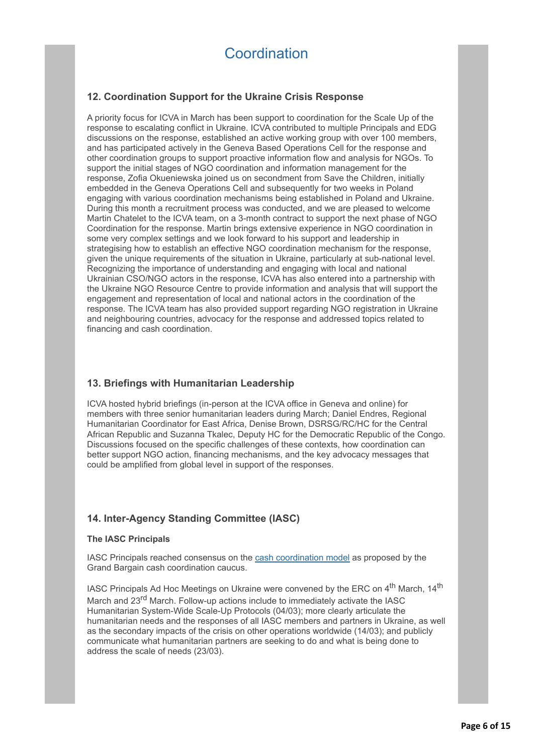## **12. Coordination Support for the Ukraine Crisis Response**

A priority focus for ICVA in March has been support to coordination for the Scale Up of the response to escalating conflict in Ukraine. ICVA contributed to multiple Principals and EDG discussions on the response, established an active working group with over 100 members, and has participated actively in the Geneva Based Operations Cell for the response and other coordination groups to support proactive information flow and analysis for NGOs. To support the initial stages of NGO coordination and information management for the response, Zofia Okueniewska joined us on secondment from Save the Children, initially embedded in the Geneva Operations Cell and subsequently for two weeks in Poland engaging with various coordination mechanisms being established in Poland and Ukraine. During this month a recruitment process was conducted, and we are pleased to welcome Martin Chatelet to the ICVA team, on a 3-month contract to support the next phase of NGO Coordination for the response. Martin brings extensive experience in NGO coordination in some very complex settings and we look forward to his support and leadership in strategising how to establish an effective NGO coordination mechanism for the response, given the unique requirements of the situation in Ukraine, particularly at sub-national level. Recognizing the importance of understanding and engaging with local and national Ukrainian CSO/NGO actors in the response, ICVA has also entered into a partnership with the Ukraine NGO Resource Centre to provide information and analysis that will support the engagement and representation of local and national actors in the coordination of the response. The ICVA team has also provided support regarding NGO registration in Ukraine and neighbouring countries, advocacy for the response and addressed topics related to financing and cash coordination.

## **13. Briefings with Humanitarian Leadership**

ICVA hosted hybrid briefings (in-person at the ICVA office in Geneva and online) for members with three senior humanitarian leaders during March; Daniel Endres, Regional Humanitarian Coordinator for East Africa, Denise Brown, DSRSG/RC/HC for the Central African Republic and Suzanna Tkalec, Deputy HC for the Democratic Republic of the Congo. Discussions focused on the specific challenges of these contexts, how coordination can better support NGO action, financing mechanisms, and the key advocacy messages that could be amplified from global level in support of the responses.

## **14. Inter-Agency Standing Committee (IASC)**

#### **The IASC Principals**

IASC Principals reached consensus on the [cash coordination model](http://icvanetwork.org/civicrm/?civiwp=CiviCRM&q=civicrm/mailing/url&u=18294&qid=990688) as proposed by the Grand Bargain cash coordination caucus.

IASC Principals Ad Hoc Meetings on Ukraine were convened by the ERC on 4<sup>th</sup> March. 14<sup>th</sup> March and 23<sup>rd</sup> March. Follow-up actions include to immediately activate the IASC Humanitarian System-Wide Scale-Up Protocols (04/03); more clearly articulate the humanitarian needs and the responses of all IASC members and partners in Ukraine, as well as the secondary impacts of the crisis on other operations worldwide (14/03); and publicly communicate what humanitarian partners are seeking to do and what is being done to address the scale of needs (23/03).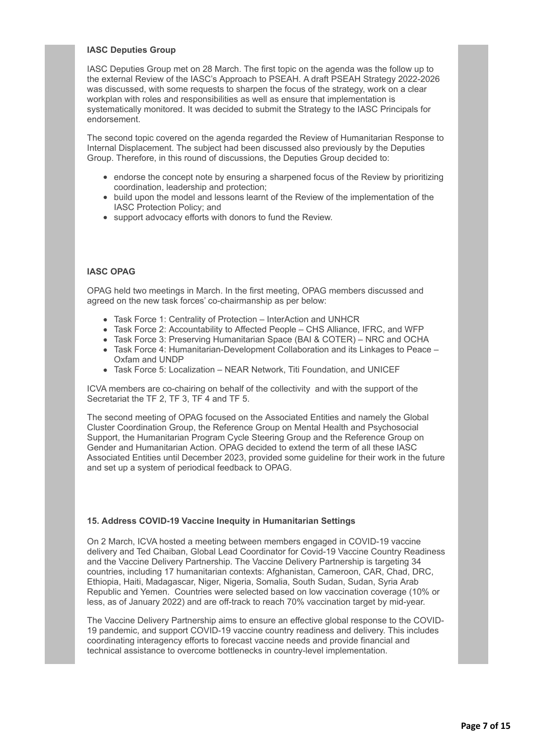#### **IASC Deputies Group**

IASC Deputies Group met on 28 March. The first topic on the agenda was the follow up to the external Review of the IASC's Approach to PSEAH. A draft PSEAH Strategy 2022-2026 was discussed, with some requests to sharpen the focus of the strategy, work on a clear workplan with roles and responsibilities as well as ensure that implementation is systematically monitored. It was decided to submit the Strategy to the IASC Principals for endorsement.

The second topic covered on the agenda regarded the Review of Humanitarian Response to Internal Displacement. The subject had been discussed also previously by the Deputies Group. Therefore, in this round of discussions, the Deputies Group decided to:

- endorse the concept note by ensuring a sharpened focus of the Review by prioritizing coordination, leadership and protection;
- build upon the model and lessons learnt of the Review of the implementation of the IASC Protection Policy; and
- support advocacy efforts with donors to fund the Review.

#### **IASC OPAG**

OPAG held two meetings in March. In the first meeting, OPAG members discussed and agreed on the new task forces' co-chairmanship as per below:

- Task Force 1: Centrality of Protection InterAction and UNHCR
- Task Force 2: Accountability to Affected People CHS Alliance, IFRC, and WFP
- Task Force 3: Preserving Humanitarian Space (BAI & COTER) NRC and OCHA
- Task Force 4: Humanitarian-Development Collaboration and its Linkages to Peace Oxfam and UNDP
- Task Force 5: Localization NEAR Network, Titi Foundation, and UNICEF

ICVA members are co-chairing on behalf of the collectivity and with the support of the Secretariat the TF 2, TF 3, TF 4 and TF 5.

The second meeting of OPAG focused on the Associated Entities and namely the Global Cluster Coordination Group, the Reference Group on Mental Health and Psychosocial Support, the Humanitarian Program Cycle Steering Group and the Reference Group on Gender and Humanitarian Action. OPAG decided to extend the term of all these IASC Associated Entities until December 2023, provided some guideline for their work in the future and set up a system of periodical feedback to OPAG.

#### **15. Address COVID-19 Vaccine Inequity in Humanitarian Settings**

On 2 March, ICVA hosted a meeting between members engaged in COVID-19 vaccine delivery and Ted Chaiban, Global Lead Coordinator for Covid-19 Vaccine Country Readiness and the Vaccine Delivery Partnership. The Vaccine Delivery Partnership is targeting 34 countries, including 17 humanitarian contexts: Afghanistan, Cameroon, CAR, Chad, DRC, Ethiopia, Haiti, Madagascar, Niger, Nigeria, Somalia, South Sudan, Sudan, Syria Arab Republic and Yemen. Countries were selected based on low vaccination coverage (10% or less, as of January 2022) and are off-track to reach 70% vaccination target by mid-year.

The Vaccine Delivery Partnership aims to ensure an effective global response to the COVID-19 pandemic, and support COVID-19 vaccine country readiness and delivery. This includes coordinating interagency efforts to forecast vaccine needs and provide financial and technical assistance to overcome bottlenecks in country-level implementation.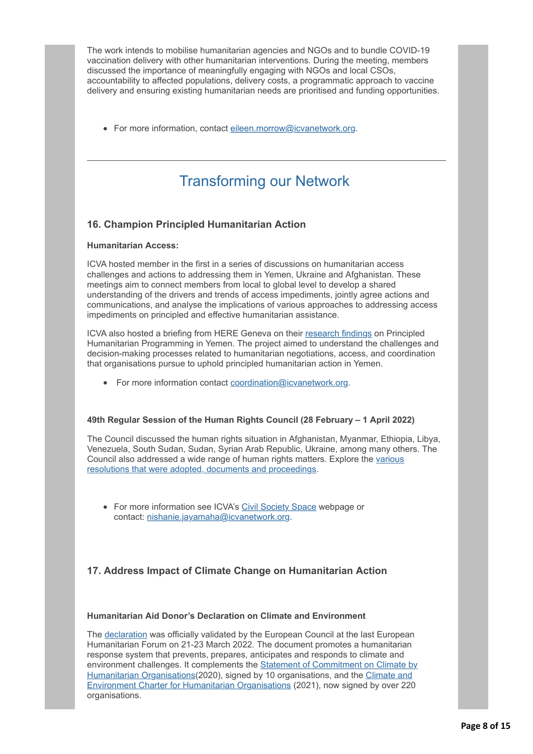The work intends to mobilise humanitarian agencies and NGOs and to bundle COVID-19 vaccination delivery with other humanitarian interventions. During the meeting, members discussed the importance of meaningfully engaging with NGOs and local CSOs, accountability to affected populations, delivery costs, a programmatic approach to vaccine delivery and ensuring existing humanitarian needs are prioritised and funding opportunities.

• For more information, contact [eileen.morrow@icvanetwork.org.](http://icvanetwork.org/civicrm/?civiwp=CiviCRM&q=civicrm/mailing/url&u=18295&qid=990688)

## Transforming our Network

## **16. Champion Principled Humanitarian Action**

#### **Humanitarian Access:**

ICVA hosted member in the first in a series of discussions on humanitarian access challenges and actions to addressing them in Yemen, Ukraine and Afghanistan. These meetings aim to connect members from local to global level to develop a shared understanding of the drivers and trends of access impediments, jointly agree actions and communications, and analyse the implications of various approaches to addressing access impediments on principled and effective humanitarian assistance.

ICVA also hosted a briefing from HERE Geneva on their [research findings](http://icvanetwork.org/civicrm/?civiwp=CiviCRM&q=civicrm/mailing/url&u=18297&qid=990688) on Principled Humanitarian Programming in Yemen. The project aimed to understand the challenges and decision-making processes related to humanitarian negotiations, access, and coordination that organisations pursue to uphold principled humanitarian action in Yemen.

For more information contact [coordination@icvanetwork.org.](http://icvanetwork.org/civicrm/?civiwp=CiviCRM&q=civicrm/mailing/url&u=18298&qid=990688)

#### **49th Regular Session of the Human Rights Council (28 February – 1 April 2022)**

The Council discussed the human rights situation in Afghanistan, Myanmar, Ethiopia, Libya, Venezuela, South Sudan, Sudan, Syrian Arab Republic, Ukraine, among many others. The [Council also addressed a wide range of human rights matters. Explore the various](http://icvanetwork.org/civicrm/?civiwp=CiviCRM&q=civicrm/mailing/url&u=18299&qid=990688) resolutions that were adopted, documents and proceedings.

• For more information see ICVA's [Civil Society Space](http://icvanetwork.org/civicrm/?civiwp=CiviCRM&q=civicrm/mailing/url&u=18300&qid=990688) webpage or contact: [nishanie.jayamaha@icvanetwork.org.](http://icvanetwork.org/civicrm/?civiwp=CiviCRM&q=civicrm/mailing/url&u=18301&qid=990688)

## **17. Address Impact of Climate Change on Humanitarian Action**

#### **Humanitarian Aid Donor's Declaration on Climate and Environment**

The [declaration](http://icvanetwork.org/civicrm/?civiwp=CiviCRM&q=civicrm/mailing/url&u=18302&qid=990688) was officially validated by the European Council at the last European Humanitarian Forum on 21-23 March 2022. The document promotes a humanitarian response system that prevents, prepares, anticipates and responds to climate and environment challenges. It complements the **Statement of Commitment on Climate by** [Humanitarian Organisations\(2020\), signed by 10 organisations, and the Climate and](http://icvanetwork.org/civicrm/?civiwp=CiviCRM&q=civicrm/mailing/url&u=18304&qid=990688) Environment Charter for Humanitarian Organisations (2021), now signed by over 220 organisations.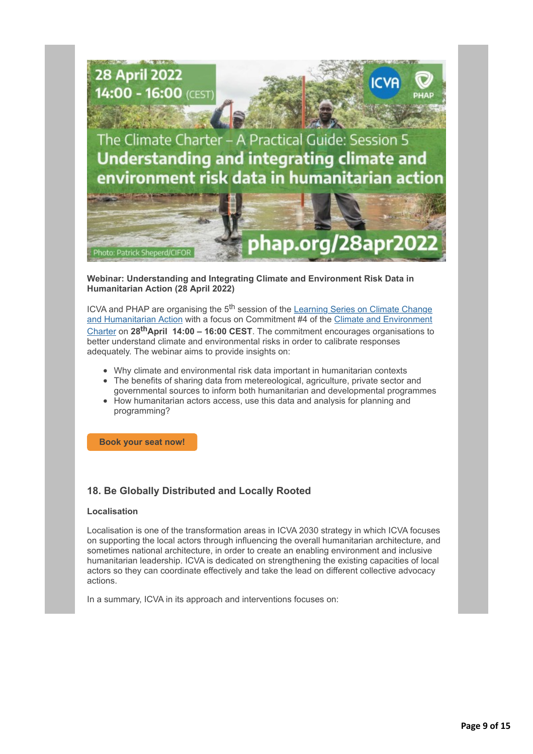

#### **Webinar: Understanding and Integrating Climate and Environment Risk Data in Humanitarian Action (28 April 2022)**

ICVA and PHAP are organising the 5<sup>th</sup> session of the Learning Series on Climate Change [and Humanitarian Action with a focus on Commitment #4 of the Climate and Environment](http://icvanetwork.org/civicrm/?civiwp=CiviCRM&q=civicrm/mailing/url&u=18306&qid=990688) Charter on **28thApril 14:00 – 16:00 CEST**. The commitment encourages organisations to better understand climate and environmental risks in order to calibrate responses adequately. The webinar aims to provide insights on:

- Why climate and environmental risk data important in humanitarian contexts
- The benefits of sharing data from metereological, agriculture, private sector and governmental sources to inform both humanitarian and developmental programmes
- How humanitarian actors access, use this data and analysis for planning and programming?

**[Book your seat now!](http://icvanetwork.org/civicrm/?civiwp=CiviCRM&q=civicrm/mailing/url&u=18307&qid=990688)**

## **18. Be Globally Distributed and Locally Rooted**

#### **Localisation**

Localisation is one of the transformation areas in ICVA 2030 strategy in which ICVA focuses on supporting the local actors through influencing the overall humanitarian architecture, and sometimes national architecture, in order to create an enabling environment and inclusive humanitarian leadership. ICVA is dedicated on strengthening the existing capacities of local actors so they can coordinate effectively and take the lead on different collective advocacy actions.

In a summary, ICVA in its approach and interventions focuses on: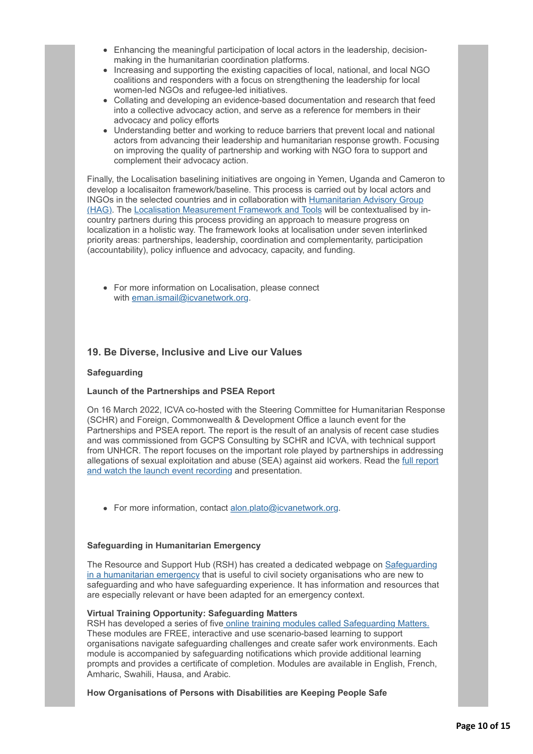- Enhancing the meaningful participation of local actors in the leadership, decisionmaking in the humanitarian coordination platforms.
- Increasing and supporting the existing capacities of local, national, and local NGO coalitions and responders with a focus on strengthening the leadership for local women-led NGOs and refugee-led initiatives.
- Collating and developing an evidence-based documentation and research that feed into a collective advocacy action, and serve as a reference for members in their advocacy and policy efforts
- Understanding better and working to reduce barriers that prevent local and national actors from advancing their leadership and humanitarian response growth. Focusing on improving the quality of partnership and working with NGO fora to support and complement their advocacy action.

Finally, the Localisation baselining initiatives are ongoing in Yemen, Uganda and Cameron to develop a localisaiton framework/baseline. This process is carried out by local actors and [INGOs in the selected countries and in collaboration with Humanitarian Advisory Group](http://icvanetwork.org/civicrm/?civiwp=CiviCRM&q=civicrm/mailing/url&u=18308&qid=990688) (HAG). The [Localisation Measurement Framework and Tools](http://icvanetwork.org/civicrm/?civiwp=CiviCRM&q=civicrm/mailing/url&u=18309&qid=990688) will be contextualised by incountry partners during this process providing an approach to measure progress on localization in a holistic way. The framework looks at localisation under seven interlinked priority areas: partnerships, leadership, coordination and complementarity, participation (accountability), policy influence and advocacy, capacity, and funding.

For more information on Localisation, please connect with [eman.ismail@icvanetwork.org](http://icvanetwork.org/civicrm/?civiwp=CiviCRM&q=civicrm/mailing/url&u=18310&qid=990688).

## **19. Be Diverse, Inclusive and Live our Values**

#### **Safeguarding**

#### **Launch of the Partnerships and PSEA Report**

On 16 March 2022, ICVA co-hosted with the Steering Committee for Humanitarian Response (SCHR) and Foreign, Commonwealth & Development Office a launch event for the Partnerships and PSEA report. The report is the result of an analysis of recent case studies and was commissioned from GCPS Consulting by SCHR and ICVA, with technical support from UNHCR. The report focuses on the important role played by partnerships in addressing [allegations of sexual exploitation and abuse \(SEA\) against aid workers. Read the full report](http://icvanetwork.org/civicrm/?civiwp=CiviCRM&q=civicrm/mailing/url&u=18312&qid=990688) and watch the launch event recording and presentation.

• For more information, contact [alon.plato@icvanetwork.org.](http://icvanetwork.org/civicrm/?civiwp=CiviCRM&q=civicrm/mailing/url&u=18313&qid=990688)

#### **Safeguarding in Humanitarian Emergency**

[The Resource and Support Hub \(RSH\) has created a dedicated webpage on Safeguarding](http://icvanetwork.org/civicrm/?civiwp=CiviCRM&q=civicrm/mailing/url&u=18314&qid=990688) in a humanitarian emergency that is useful to civil society organisations who are new to safeguarding and who have safeguarding experience. It has information and resources that are especially relevant or have been adapted for an emergency context.

#### **Virtual Training Opportunity: Safeguarding Matters**

RSH has developed a series of five [online training modules called Safeguarding Matters.](http://icvanetwork.org/civicrm/?civiwp=CiviCRM&q=civicrm/mailing/url&u=18315&qid=990688) These modules are FREE, interactive and use scenario-based learning to support organisations navigate safeguarding challenges and create safer work environments. Each module is accompanied by safeguarding notifications which provide additional learning prompts and provides a certificate of completion. Modules are available in English, French, Amharic, Swahili, Hausa, and Arabic.

#### **How Organisations of Persons with Disabilities are Keeping People Safe**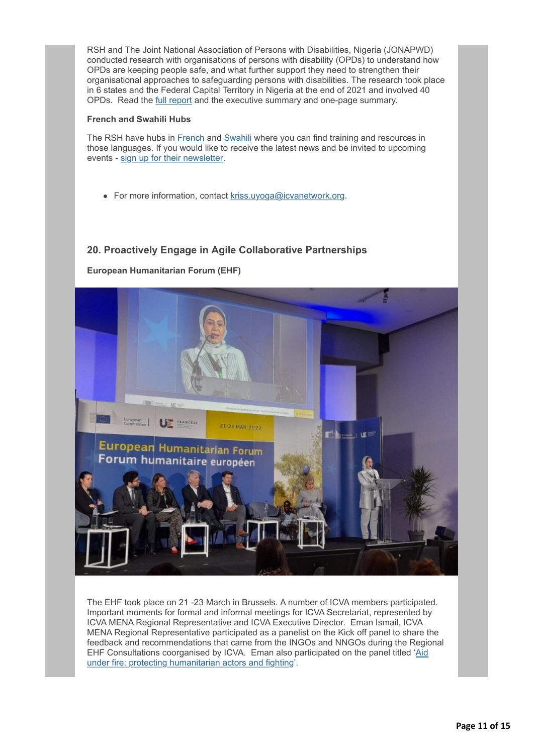RSH and The Joint National Association of Persons with Disabilities, Nigeria (JONAPWD) conducted research with organisations of persons with disability (OPDs) to understand how OPDs are keeping people safe, and what further support they need to strengthen their organisational approaches to safeguarding persons with disabilities. The research took place in 6 states and the Federal Capital Territory in Nigeria at the end of 2021 and involved 40 OPDs. Read the [full report](http://icvanetwork.org/civicrm/?civiwp=CiviCRM&q=civicrm/mailing/url&u=18316&qid=990688) and the executive summary and one-page summary.

#### **French and Swahili Hubs**

The RSH have hubs i[n French](http://icvanetwork.org/civicrm/?civiwp=CiviCRM&q=civicrm/mailing/url&u=18317&qid=990688) and [Swahili](http://icvanetwork.org/civicrm/?civiwp=CiviCRM&q=civicrm/mailing/url&u=18318&qid=990688) where you can find training and resources in those languages. If you would like to receive the latest news and be invited to upcoming events - [sign up for their newsletter.](http://icvanetwork.org/civicrm/?civiwp=CiviCRM&q=civicrm/mailing/url&u=18319&qid=990688)

• For more information, contact kriss.uvoga@icvanetwork.org.

## **20. Proactively Engage in Agile Collaborative Partnerships**



**European Humanitarian Forum (EHF)**

The EHF took place on 21 -23 March in Brussels. A number of ICVA members participated. Important moments for formal and informal meetings for ICVA Secretariat, represented by ICVA MENA Regional Representative and ICVA Executive Director. Eman Ismail, ICVA MENA Regional Representative participated as a panelist on the Kick off panel to share the feedback and recommendations that came from the INGOs and NNGOs during the Regional [EHF Consultations coorganised by ICVA. Eman also participated on the panel titled 'Aid](http://icvanetwork.org/civicrm/?civiwp=CiviCRM&q=civicrm/mailing/url&u=18322&qid=990688) under fire: protecting humanitarian actors and fighting'.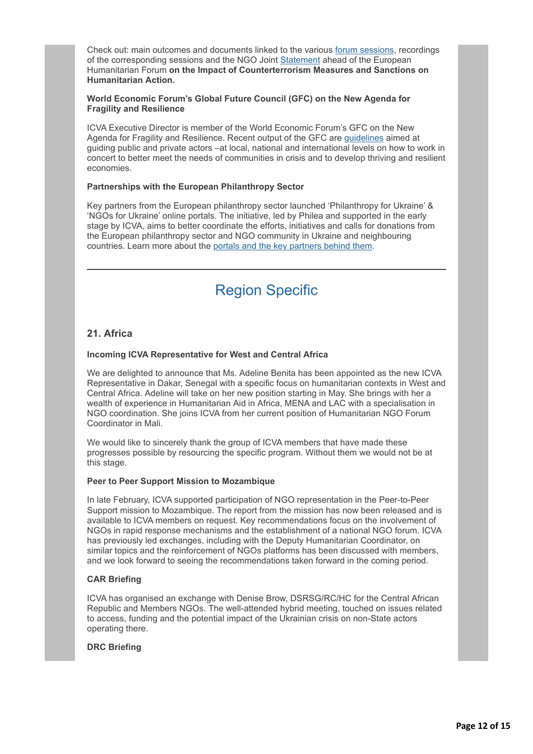Check out: main outcomes and documents linked to the various [forum sessions,](http://icvanetwork.org/civicrm/?civiwp=CiviCRM&q=civicrm/mailing/url&u=18302&qid=990688) recordings of the corresponding sessions and the NGO Joint [Statement](http://icvanetwork.org/civicrm/?civiwp=CiviCRM&q=civicrm/mailing/url&u=18323&qid=990688) ahead of the European Humanitarian Forum **on the Impact of Counterterrorism Measures and Sanctions on Humanitarian Action.**

#### **World Economic Forum's Global Future Council (GFC) on the New Agenda for Fragility and Resilience**

ICVA Executive Director is member of the World Economic Forum's GFC on the New Agenda for Fragility and Resilience. Recent output of the GFC are [guidelines](http://icvanetwork.org/civicrm/?civiwp=CiviCRM&q=civicrm/mailing/url&u=18324&qid=990688) aimed at guiding public and private actors –at local, national and international levels on how to work in concert to better meet the needs of communities in crisis and to develop thriving and resilient economies.

#### **Partnerships with the European Philanthropy Sector**

Key partners from the European philanthropy sector launched 'Philanthropy for Ukraine' & 'NGOs for Ukraine' online portals. The initiative, led by Philea and supported in the early stage by ICVA, aims to better coordinate the efforts, initiatives and calls for donations from the European philanthropy sector and NGO community in Ukraine and neighbouring countries. Learn more about the [portals and the key partners behind them](http://icvanetwork.org/civicrm/?civiwp=CiviCRM&q=civicrm/mailing/url&u=18325&qid=990688).

## Region Specific

## **21. Africa**

#### **Incoming ICVA Representative for West and Central Africa**

We are delighted to announce that Ms. Adeline Benita has been appointed as the new ICVA Representative in Dakar, Senegal with a specific focus on humanitarian contexts in West and Central Africa. Adeline will take on her new position starting in May. She brings with her a wealth of experience in Humanitarian Aid in Africa, MENA and LAC with a specialisation in NGO coordination. She joins ICVA from her current position of Humanitarian NGO Forum Coordinator in Mali.

We would like to sincerely thank the group of ICVA members that have made these progresses possible by resourcing the specific program. Without them we would not be at this stage.

#### **Peer to Peer Support Mission to Mozambique**

In late February, ICVA supported participation of NGO representation in the Peer-to-Peer Support mission to Mozambique. The report from the mission has now been released and is available to ICVA members on request. Key recommendations focus on the involvement of NGOs in rapid response mechanisms and the establishment of a national NGO forum. ICVA has previously led exchanges, including with the Deputy Humanitarian Coordinator, on similar topics and the reinforcement of NGOs platforms has been discussed with members, and we look forward to seeing the recommendations taken forward in the coming period.

#### **CAR Briefing**

ICVA has organised an exchange with Denise Brow, DSRSG/RC/HC for the Central African Republic and Members NGOs. The well-attended hybrid meeting, touched on issues related to access, funding and the potential impact of the Ukrainian crisis on non-State actors operating there.

#### **DRC Briefing**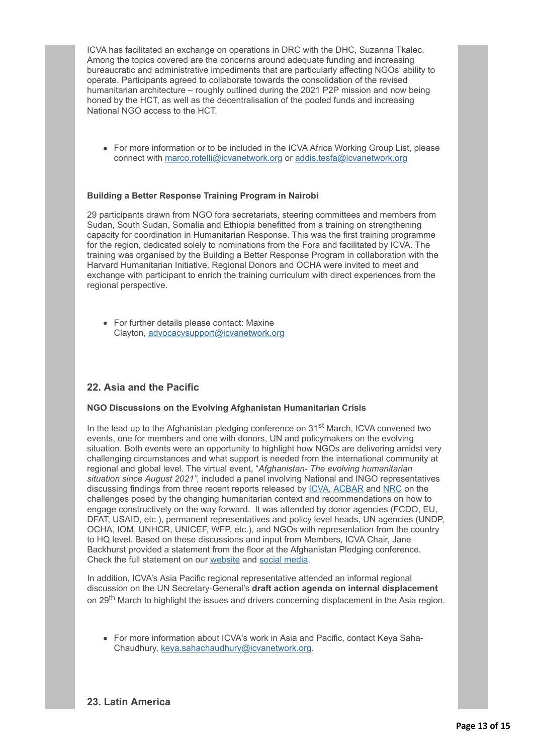ICVA has facilitated an exchange on operations in DRC with the DHC, Suzanna Tkalec. Among the topics covered are the concerns around adequate funding and increasing bureaucratic and administrative impediments that are particularly affecting NGOs' ability to operate. Participants agreed to collaborate towards the consolidation of the revised humanitarian architecture – roughly outlined during the 2021 P2P mission and now being honed by the HCT, as well as the decentralisation of the pooled funds and increasing National NGO access to the HCT.

• For more information or to be included in the ICVA Africa Working Group List, please connect with [marco.rotelli@icvanetwork.org](http://icvanetwork.org/civicrm/?civiwp=CiviCRM&q=civicrm/mailing/url&u=18311&qid=990688) or [addis.tesfa@icvanetwork.org](http://icvanetwork.org/civicrm/?civiwp=CiviCRM&q=civicrm/mailing/url&u=18326&qid=990688)

#### **Building a Better Response Training Program in Nairobi**

29 participants drawn from NGO fora secretariats, steering committees and members from Sudan, South Sudan, Somalia and Ethiopia benefitted from a training on strengthening capacity for coordination in Humanitarian Response. This was the first training programme for the region, dedicated solely to nominations from the Fora and facilitated by ICVA. The training was organised by the Building a Better Response Program in collaboration with the Harvard Humanitarian Initiative. Regional Donors and OCHA were invited to meet and exchange with participant to enrich the training curriculum with direct experiences from the regional perspective.

For further details please contact: Maxine Clayton, [advocacysupport@icvanetwork.org](http://icvanetwork.org/civicrm/?civiwp=CiviCRM&q=civicrm/mailing/url&u=18296&qid=990688)

## **22. Asia and the Pacific**

#### **NGO Discussions on the Evolving Afghanistan Humanitarian Crisis**

In the lead up to the Afghanistan pledging conference on  $31<sup>st</sup>$  March, ICVA convened two events, one for members and one with donors, UN and policymakers on the evolving situation. Both events were an opportunity to highlight how NGOs are delivering amidst very challenging circumstances and what support is needed from the international community at regional and global level. The virtual event, "*Afghanistan- The evolving humanitarian situation since August 2021",* included a panel involving National and INGO representatives discussing findings from three recent reports released by [ICVA,](http://icvanetwork.org/civicrm/?civiwp=CiviCRM&q=civicrm/mailing/url&u=18327&qid=990688) [ACBAR](http://icvanetwork.org/civicrm/?civiwp=CiviCRM&q=civicrm/mailing/url&u=18328&qid=990688) and [NRC](http://icvanetwork.org/civicrm/?civiwp=CiviCRM&q=civicrm/mailing/url&u=18329&qid=990688) on the challenges posed by the changing humanitarian context and recommendations on how to engage constructively on the way forward. It was attended by donor agencies (FCDO, EU, DFAT, USAID, etc.), permanent representatives and policy level heads, UN agencies (UNDP, OCHA, IOM, UNHCR, UNICEF, WFP, etc.), and NGOs with representation from the country to HQ level. Based on these discussions and input from Members, ICVA Chair, Jane Backhurst provided a statement from the floor at the Afghanistan Pledging conference. Check the full statement on our [website](http://icvanetwork.org/civicrm/?civiwp=CiviCRM&q=civicrm/mailing/url&u=18330&qid=990688) and [social media.](http://icvanetwork.org/civicrm/?civiwp=CiviCRM&q=civicrm/mailing/url&u=18331&qid=990688)

In addition, ICVA's Asia Pacific regional representative attended an informal regional discussion on the UN Secretary-General's **draft action agenda on internal displacement** on 29<sup>th</sup> March to highlight the issues and drivers concerning displacement in the Asia region.

For more information about ICVA's work in Asia and Pacific, contact Keya Saha-Chaudhury, [keya.sahachaudhury@icvanetwork.org.](http://icvanetwork.org/civicrm/?civiwp=CiviCRM&q=civicrm/mailing/url&u=18332&qid=990688)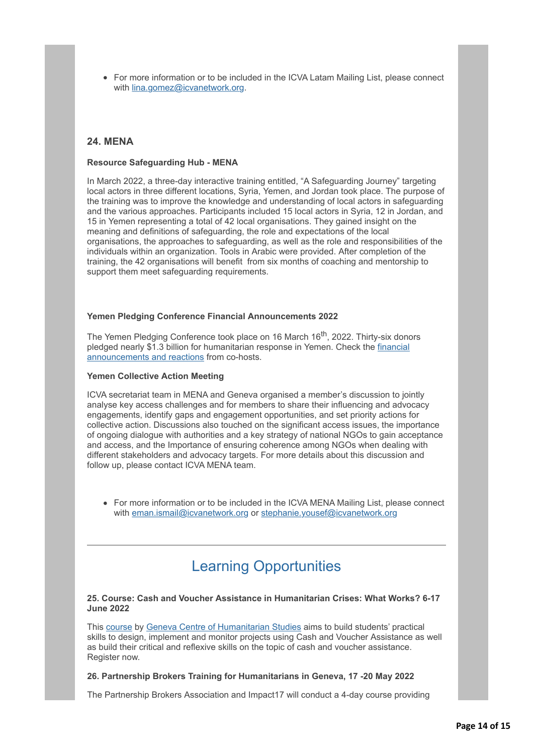• For more information or to be included in the ICVA Latam Mailing List, please connect with [lina.gomez@icvanetwork.org.](http://icvanetwork.org/civicrm/?civiwp=CiviCRM&q=civicrm/mailing/url&u=18333&qid=990688)

## **24. MENA**

#### **Resource Safeguarding Hub - MENA**

In March 2022, a three-day interactive training entitled, "A Safeguarding Journey" targeting local actors in three different locations, Syria, Yemen, and Jordan took place. The purpose of the training was to improve the knowledge and understanding of local actors in safeguarding and the various approaches. Participants included 15 local actors in Syria, 12 in Jordan, and 15 in Yemen representing a total of 42 local organisations. They gained insight on the meaning and definitions of safeguarding, the role and expectations of the local organisations, the approaches to safeguarding, as well as the role and responsibilities of the individuals within an organization. Tools in Arabic were provided. After completion of the training, the 42 organisations will benefit from six months of coaching and mentorship to support them meet safeguarding requirements.

#### **Yemen Pledging Conference Financial Announcements 2022**

The Yemen Pledging Conference took place on 16 March 16<sup>th</sup>, 2022. Thirty-six donors [pledged nearly \\$1.3 billion for humanitarian response in Yemen. Check the financial](http://icvanetwork.org/civicrm/?civiwp=CiviCRM&q=civicrm/mailing/url&u=18334&qid=990688) announcements and reactions from co-hosts.

#### **Yemen Collective Action Meeting**

ICVA secretariat team in MENA and Geneva organised a member's discussion to jointly analyse key access challenges and for members to share their influencing and advocacy engagements, identify gaps and engagement opportunities, and set priority actions for collective action. Discussions also touched on the significant access issues, the importance of ongoing dialogue with authorities and a key strategy of national NGOs to gain acceptance and access, and the Importance of ensuring coherence among NGOs when dealing with different stakeholders and advocacy targets. For more details about this discussion and follow up, please contact ICVA MENA team.

For more information or to be included in the ICVA MENA Mailing List, please connect with [eman.ismail@icvanetwork.org](http://icvanetwork.org/civicrm/?civiwp=CiviCRM&q=civicrm/mailing/url&u=18310&qid=990688) or [stephanie.yousef@icvanetwork.org](http://icvanetwork.org/civicrm/?civiwp=CiviCRM&q=civicrm/mailing/url&u=18335&qid=990688)

## Learning Opportunities

#### **25. Course: Cash and Voucher Assistance in Humanitarian Crises: What Works? 6-17 June 2022**

This [course](http://icvanetwork.org/civicrm/?civiwp=CiviCRM&q=civicrm/mailing/url&u=18336&qid=990688) by [Geneva Centre of Humanitarian Studies](http://icvanetwork.org/civicrm/?civiwp=CiviCRM&q=civicrm/mailing/url&u=18337&qid=990688) aims to build students' practical skills to design, implement and monitor projects using Cash and Voucher Assistance as well as build their critical and reflexive skills on the topic of cash and voucher assistance. Register now.

#### **26. Partnership Brokers Training for Humanitarians in Geneva, 17 -20 May 2022**

The Partnership Brokers Association and Impact17 will conduct a 4-day course providing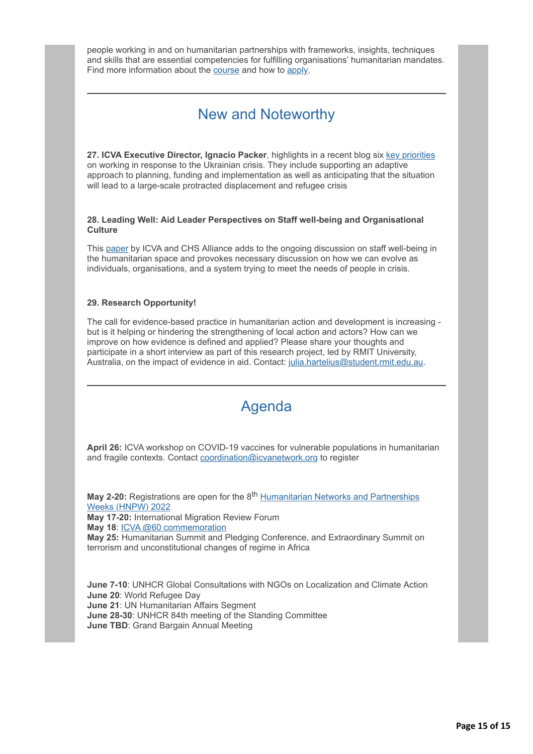people working in and on humanitarian partnerships with frameworks, insights, techniques and skills that are essential competencies for fulfilling organisations' humanitarian mandates. Find more information about the [course](http://icvanetwork.org/civicrm/?civiwp=CiviCRM&q=civicrm/mailing/url&u=18338&qid=990688) and how to [apply.](http://icvanetwork.org/civicrm/?civiwp=CiviCRM&q=civicrm/mailing/url&u=18339&qid=990688)

## New and Noteworthy

**27. ICVA Executive Director, Ignacio Packer**, highlights in a recent blog six [key priorities](http://icvanetwork.org/civicrm/?civiwp=CiviCRM&q=civicrm/mailing/url&u=18340&qid=990688) on working in response to the Ukrainian crisis. They include supporting an adaptive approach to planning, funding and implementation as well as anticipating that the situation will lead to a large-scale protracted displacement and refugee crisis

**28. Leading Well: Aid Leader Perspectives on Staff well-being and Organisational Culture**

This [paper](http://icvanetwork.org/civicrm/?civiwp=CiviCRM&q=civicrm/mailing/url&u=18341&qid=990688) by ICVA and CHS Alliance adds to the ongoing discussion on staff well-being in the humanitarian space and provokes necessary discussion on how we can evolve as individuals, organisations, and a system trying to meet the needs of people in crisis.

#### **29. Research Opportunity!**

The call for evidence-based practice in humanitarian action and development is increasing but is it helping or hindering the strengthening of local action and actors? How can we improve on how evidence is defined and applied? Please share your thoughts and participate in a short interview as part of this research project, led by RMIT University, Australia, on the impact of evidence in aid. Contact: [julia.hartelius@student.rmit.edu.au](http://icvanetwork.org/civicrm/?civiwp=CiviCRM&q=civicrm/mailing/url&u=18342&qid=990688).

## Agenda

**April 26:** ICVA workshop on COVID-19 vaccines for vulnerable populations in humanitarian and fragile contexts. Contact [coordination@icvanetwork.org](http://icvanetwork.org/civicrm/?civiwp=CiviCRM&q=civicrm/mailing/url&u=18298&qid=990688) to register

**May 2-20:** Registrations are open for the 8<sup>th</sup> [Humanitarian Networks and Partnerships](http://icvanetwork.org/civicrm/?civiwp=CiviCRM&q=civicrm/mailing/url&u=18343&qid=990688) Weeks (HNPW) 2022 **May 17-20:** International Migration Review Forum **May 18**: [ICVA @60 commemoration](http://icvanetwork.org/civicrm/?civiwp=CiviCRM&q=civicrm/mailing/url&u=18270&qid=990688) **May 25:** Humanitarian Summit and Pledging Conference, and Extraordinary Summit on terrorism and unconstitutional changes of regime in Africa

**June 7-10**: UNHCR Global Consultations with NGOs on Localization and Climate Action **June 20**: World Refugee Day **June 21**: UN Humanitarian Affairs Segment **June 28-30**: UNHCR 84th meeting of the Standing Committee **June TBD**: Grand Bargain Annual Meeting